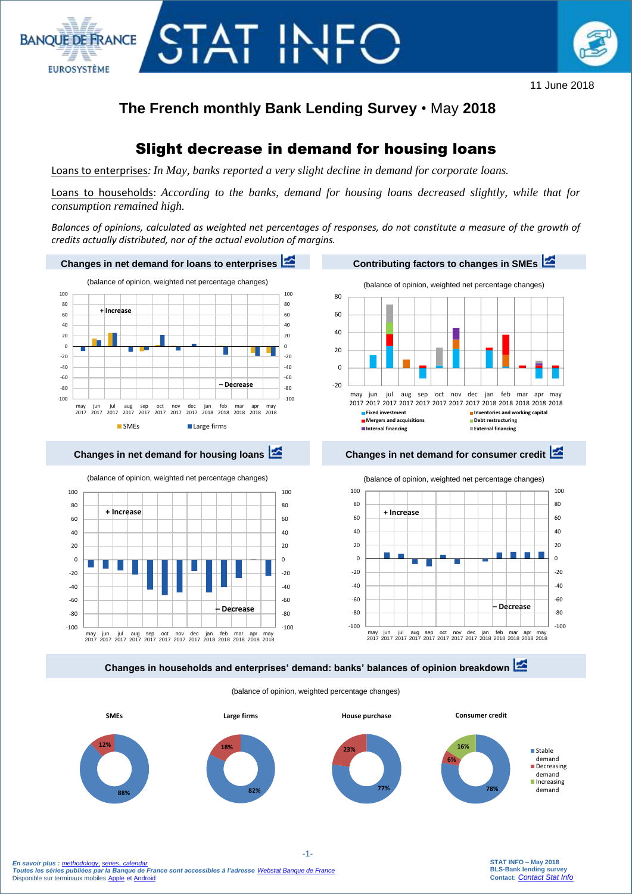

11 June 2018

# **The French monthly Bank Lending Survey** • May **2018**

# Slight decrease in demand for housing loans

Loans to enterprises*: In May, banks reported a very slight decline in demand for corporate loans.*

TAT IN

**BANOUE DE FRANCE** 

**EUROSYSTÈME** 

Loans to households: *According to the banks, demand for housing loans decreased slightly, while that for consumption remained high.*

*Balances of opinions, calculated as weighted net percentages of responses, do not constitute a measure of the growth of credits actually distributed, nor of the actual evolution of margins.*



(balance of opinion, weighted percentage changes)

**88% 12% SMEs 78% 6% 16% Consumer credit** Stable demand Decreasing demand Increasing **82%** demand **18% Large firms 77% 23% House purchase**

> **STAT INFO – May 2018 BLS-Bank lending survey Contact:** *[Contact Stat Info](mailto:%20gps.support@banque-france.fr?subject=[Support%20statistique]%20BLS)*

 *En savoir plus : [methodology](https://www.banque-france.fr/sites/default/files/media/2016/12/20/methodologie-bls.pdf), [series](http://webstat.banque-france.fr/en/browse.do?node=5384393)*, *[calendar](https://www.banque-france.fr/en/statistics/calendar) Toutes les séries publiées par la Banque de France sont accessibles à l'adresse [Webstat Banque de France](http://webstat.banque-france.fr/fr/home.do)* Disponible sur terminaux mobiles [Apple](https://itunes.apple.com/fr/app/banquefrance/id663817914?mt=8) e[t Android](https://play.google.com/store/apps/details?id=fr.bdf.mobile&feature=search_result#?t=W251bGwsMSwyLDEsImZyLmJkZi5tb2JpbGUiXQ)